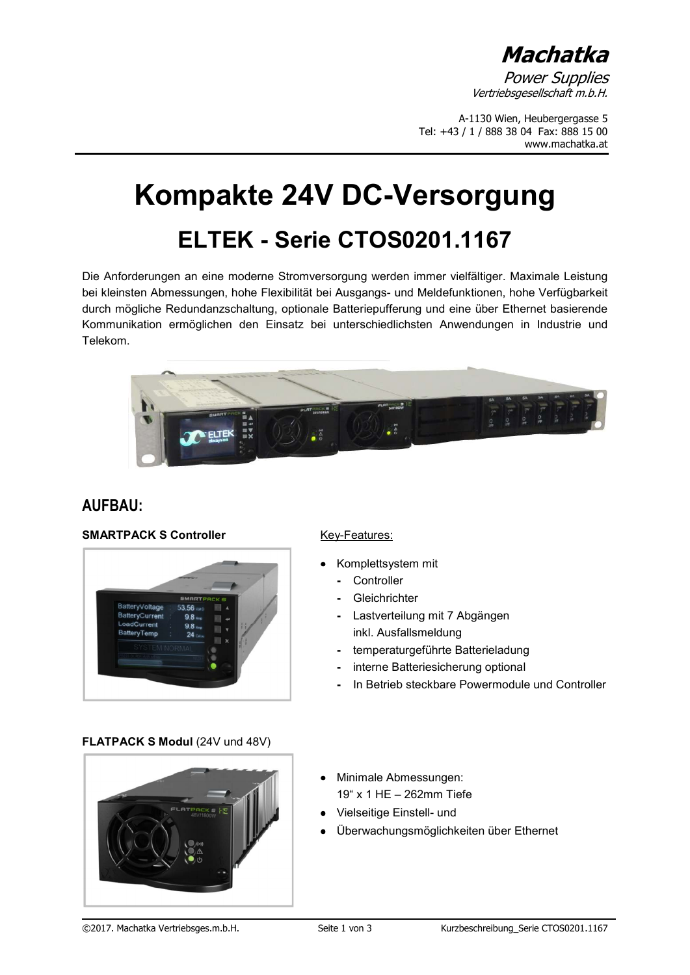**Machatka** 

**Power Supplies** Vertriebsgesellschaft m.b.H.

A-1130 Wien, Heubergergasse 5 Tel: +43 / 1 / 888 38 04 Fax: 888 15 00 www.machatka.at

## **Kompakte 24V DC-Versorgung ELTEK - Serie CTOS0201.1167**

Die Anforderungen an eine moderne Stromversorgung werden immer vielfältiger. Maximale Leistung bei kleinsten Abmessungen, hohe Flexibilität bei Ausgangs- und Meldefunktionen, hohe Verfügbarkeit durch mögliche Redundanzschaltung, optionale Batteriepufferung und eine über Ethernet basierende Kommunikation ermöglichen den Einsatz bei unterschiedlichsten Anwendungen in Industrie und Telekom.



## **AUFBAU:**

### **SMARTPACK S Controller** Key-Features:



- Komplettsystem mit
	- Controller
	- Gleichrichter
	- Lastverteilung mit 7 Abgängen inkl. Ausfallsmeldung
	- temperaturgeführte Batterieladung
	- interne Batteriesicherung optional
	- In Betrieb steckbare Powermodule und Controller

### **FLATPACK S Modul (24V und 48V)**



- Minimale Abmessungen: 19" x 1 HE – 262mm Tiefe
- Vielseitige Einstell- und
- Überwachungsmöglichkeiten über Ethernet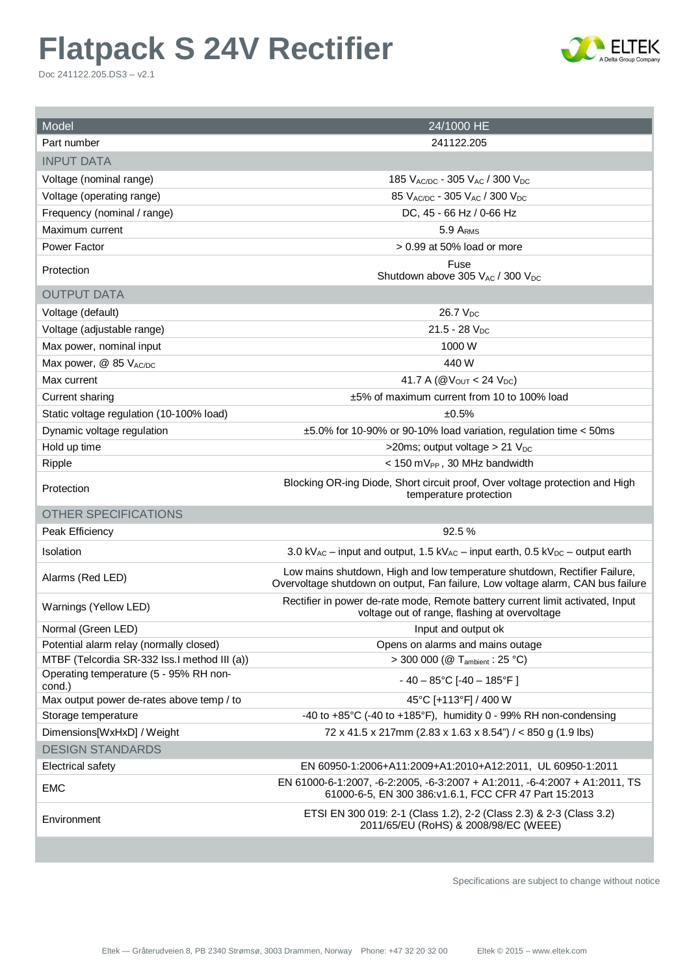# **Flatpack S 24V Rectifier**

Doc 241122.205.DS3 – v2.1



| Model                                            | 24/1000 HE                                                                                                                                                   |  |  |
|--------------------------------------------------|--------------------------------------------------------------------------------------------------------------------------------------------------------------|--|--|
| Part number                                      | 241122.205                                                                                                                                                   |  |  |
| <b>INPUT DATA</b>                                |                                                                                                                                                              |  |  |
| Voltage (nominal range)                          | 185 $V_{\text{AC/DC}}$ - 305 $V_{\text{AC}}$ / 300 $V_{\text{DC}}$                                                                                           |  |  |
| Voltage (operating range)                        | 85 VAC/DC - 305 VAC / 300 VDC                                                                                                                                |  |  |
| Frequency (nominal / range)                      | DC, 45 - 66 Hz / 0-66 Hz                                                                                                                                     |  |  |
| Maximum current                                  | 5.9 ARMS                                                                                                                                                     |  |  |
| Power Factor                                     | $> 0.99$ at 50% load or more                                                                                                                                 |  |  |
| Protection                                       | Fuse<br>Shutdown above 305 VAC / 300 V <sub>DC</sub>                                                                                                         |  |  |
| <b>OUTPUT DATA</b>                               |                                                                                                                                                              |  |  |
| Voltage (default)                                | 26.7 V <sub>DC</sub>                                                                                                                                         |  |  |
| Voltage (adjustable range)                       | $21.5 - 28$ V <sub>DC</sub>                                                                                                                                  |  |  |
| Max power, nominal input                         | 1000 W                                                                                                                                                       |  |  |
| Max power, @ 85 VAC/DC                           | 440 W                                                                                                                                                        |  |  |
| Max current                                      | 41.7 A ( $@V_{OUT}$ < 24 $V_{DC}$ )                                                                                                                          |  |  |
| <b>Current sharing</b>                           | ±5% of maximum current from 10 to 100% load                                                                                                                  |  |  |
| Static voltage regulation (10-100% load)         | ±0.5%                                                                                                                                                        |  |  |
| Dynamic voltage regulation                       | ±5.0% for 10-90% or 90-10% load variation, regulation time < 50ms                                                                                            |  |  |
| Hold up time                                     | >20ms; output voltage > 21 $V_{DC}$                                                                                                                          |  |  |
| Ripple                                           | $<$ 150 mV <sub>PP</sub> , 30 MHz bandwidth                                                                                                                  |  |  |
| Protection                                       | Blocking OR-ing Diode, Short circuit proof, Over voltage protection and High<br>temperature protection                                                       |  |  |
| <b>OTHER SPECIFICATIONS</b>                      |                                                                                                                                                              |  |  |
| Peak Efficiency                                  | 92.5%                                                                                                                                                        |  |  |
| Isolation                                        | 3.0 kV <sub>AC</sub> – input and output, 1.5 kV <sub>AC</sub> – input earth, 0.5 kV <sub>DC</sub> – output earth                                             |  |  |
| Alarms (Red LED)                                 | Low mains shutdown, High and low temperature shutdown, Rectifier Failure,<br>Overvoltage shutdown on output, Fan failure, Low voltage alarm, CAN bus failure |  |  |
| Warnings (Yellow LED)                            | Rectifier in power de-rate mode, Remote battery current limit activated, Input<br>voltage out of range, flashing at overvoltage                              |  |  |
| Normal (Green LED)                               | Input and output ok                                                                                                                                          |  |  |
| Potential alarm relay (normally closed)          | Opens on alarms and mains outage                                                                                                                             |  |  |
| MTBF (Telcordia SR-332 lss.I method III (a))     | > 300 000 ( $@$ T <sub>ambient</sub> : 25 °C)                                                                                                                |  |  |
| Operating temperature (5 - 95% RH non-<br>cond.) | $-40 - 85$ °C [-40 - 185°F]                                                                                                                                  |  |  |
| Max output power de-rates above temp / to        | 45°C [+113°F] / 400 W                                                                                                                                        |  |  |
| Storage temperature                              | -40 to +85°C (-40 to +185°F), humidity 0 - 99% RH non-condensing                                                                                             |  |  |
| Dimensions[WxHxD] / Weight                       | 72 x 41.5 x 217mm (2.83 x 1.63 x 8.54") / < 850 g (1.9 lbs)                                                                                                  |  |  |
| <b>DESIGN STANDARDS</b>                          |                                                                                                                                                              |  |  |
| Electrical safety                                | EN 60950-1:2006+A11:2009+A1:2010+A12:2011, UL 60950-1:2011                                                                                                   |  |  |
| <b>EMC</b>                                       | EN 61000-6-1:2007, -6-2:2005, -6-3:2007 + A1:2011, -6-4:2007 + A1:2011, TS<br>61000-6-5, EN 300 386: v1.6.1, FCC CFR 47 Part 15:2013                         |  |  |
| Environment                                      | ETSI EN 300 019: 2-1 (Class 1.2), 2-2 (Class 2.3) & 2-3 (Class 3.2)<br>2011/65/EU (RoHS) & 2008/98/EC (WEEE)                                                 |  |  |

Specifications are subject to change without notice